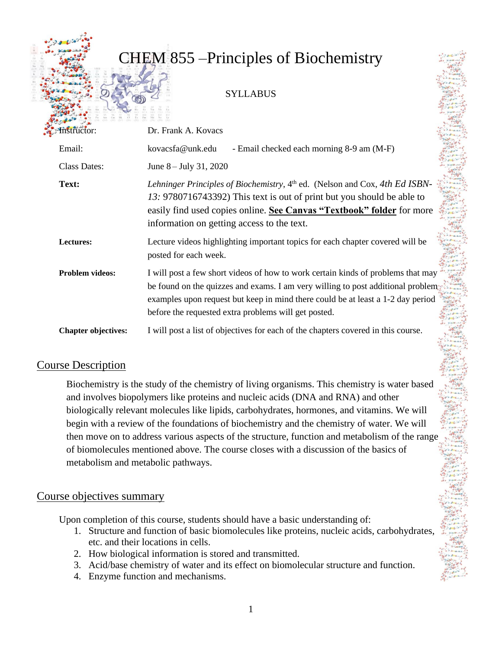# CHEM 855 –Principles of Biochemistry

### **SYLLABUS**

| Instructor:                | Dr. Frank A. Kovacs                                                                                                                                                                                                                                                                                            |
|----------------------------|----------------------------------------------------------------------------------------------------------------------------------------------------------------------------------------------------------------------------------------------------------------------------------------------------------------|
| Email:                     | kovacsfa@unk.edu<br>- Email checked each morning 8-9 am (M-F)                                                                                                                                                                                                                                                  |
| <b>Class Dates:</b>        | June $8 -$ July 31, 2020                                                                                                                                                                                                                                                                                       |
| Text:                      | Lehninger Principles of Biochemistry, 4th ed. (Nelson and Cox, 4th Ed ISBN-<br>13: 9780716743392) This text is out of print but you should be able to<br>easily find used copies online. See Canvas "Textbook" folder for more<br>information on getting access to the text.                                   |
| Lectures:                  | Lecture videos highlighting important topics for each chapter covered will be<br>posted for each week.                                                                                                                                                                                                         |
| <b>Problem videos:</b>     | I will post a few short videos of how to work certain kinds of problems that may<br>be found on the quizzes and exams. I am very willing to post additional problem<br>examples upon request but keep in mind there could be at least a 1-2 day period<br>before the requested extra problems will get posted. |
| <b>Chapter objectives:</b> | I will post a list of objectives for each of the chapters covered in this course.                                                                                                                                                                                                                              |

# Course Description

Biochemistry is the study of the chemistry of living organisms. This chemistry is water based and involves biopolymers like proteins and nucleic acids (DNA and RNA) and other biologically relevant molecules like lipids, carbohydrates, hormones, and vitamins. We will begin with a review of the foundations of biochemistry and the chemistry of water. We will then move on to address various aspects of the structure, function and metabolism of the range of biomolecules mentioned above. The course closes with a discussion of the basics of metabolism and metabolic pathways.

### Course objectives summary

Upon completion of this course, students should have a basic understanding of:

- 1. Structure and function of basic biomolecules like proteins, nucleic acids, carbohydrates, etc. and their locations in cells.
- 2. How biological information is stored and transmitted.
- 3. Acid/base chemistry of water and its effect on biomolecular structure and function.
- 4. Enzyme function and mechanisms.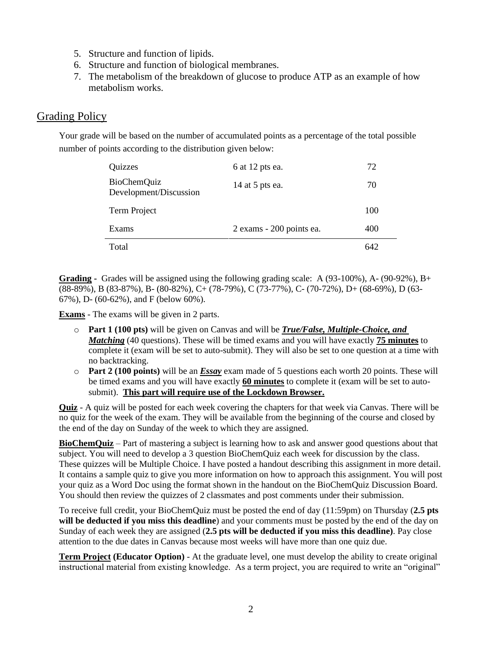- 5. Structure and function of lipids.
- 6. Structure and function of biological membranes.
- 7. The metabolism of the breakdown of glucose to produce ATP as an example of how metabolism works.

### Grading Policy

Your grade will be based on the number of accumulated points as a percentage of the total possible number of points according to the distribution given below:

| Quizzes                                      | 6 at 12 pts ea.          | 72  |
|----------------------------------------------|--------------------------|-----|
| <b>BioChemQuiz</b><br>Development/Discussion | 14 at 5 pts ea.          | 70  |
| Term Project                                 |                          | 100 |
| Exams                                        | 2 exams - 200 points ea. | 400 |
| Total                                        |                          | 647 |

**Grading -** Grades will be assigned using the following grading scale: A  $(93-100\%)$ , A- $(90-92\%)$ , B+ (88-89%), B (83-87%), B- (80-82%), C+ (78-79%), C (73-77%), C- (70-72%), D+ (68-69%), D (63- 67%), D- (60-62%), and F (below 60%).

**Exams** - The exams will be given in 2 parts.

- o **Part 1 (100 pts)** will be given on Canvas and will be *True/False, Multiple-Choice, and Matching* (40 questions). These will be timed exams and you will have exactly **75 minutes** to complete it (exam will be set to auto-submit). They will also be set to one question at a time with no backtracking.
- o **Part 2 (100 points)** will be an *Essay* exam made of 5 questions each worth 20 points. These will be timed exams and you will have exactly **60 minutes** to complete it (exam will be set to autosubmit). **This part will require use of the Lockdown Browser.**

**Quiz** - A quiz will be posted for each week covering the chapters for that week via Canvas. There will be no quiz for the week of the exam. They will be available from the beginning of the course and closed by the end of the day on Sunday of the week to which they are assigned.

**BioChemQuiz** – Part of mastering a subject is learning how to ask and answer good questions about that subject. You will need to develop a 3 question BioChemQuiz each week for discussion by the class. These quizzes will be Multiple Choice. I have posted a handout describing this assignment in more detail. It contains a sample quiz to give you more information on how to approach this assignment. You will post your quiz as a Word Doc using the format shown in the handout on the BioChemQuiz Discussion Board. You should then review the quizzes of 2 classmates and post comments under their submission.

To receive full credit, your BioChemQuiz must be posted the end of day (11:59pm) on Thursday (**2.5 pts will be deducted if you miss this deadline**) and your comments must be posted by the end of the day on Sunday of each week they are assigned (**2.5 pts will be deducted if you miss this deadline)**. Pay close attention to the due dates in Canvas because most weeks will have more than one quiz due.

**Term Project (Educator Option)** - At the graduate level, one must develop the ability to create original instructional material from existing knowledge. As a term project, you are required to write an "original"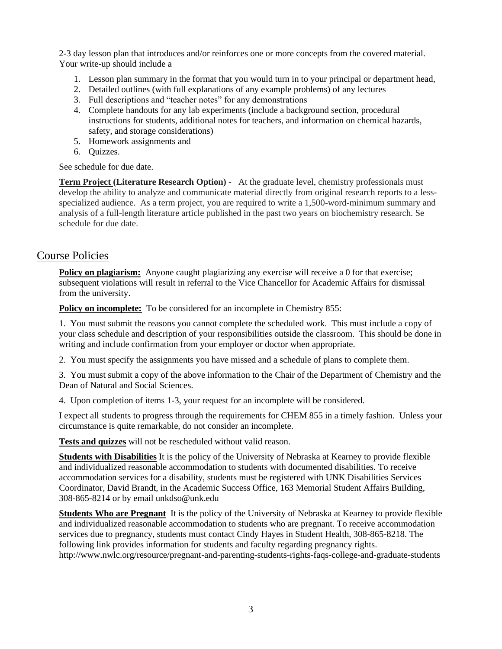2-3 day lesson plan that introduces and/or reinforces one or more concepts from the covered material. Your write-up should include a

- 1. Lesson plan summary in the format that you would turn in to your principal or department head,
- 2. Detailed outlines (with full explanations of any example problems) of any lectures
- 3. Full descriptions and "teacher notes" for any demonstrations
- 4. Complete handouts for any lab experiments (include a background section, procedural instructions for students, additional notes for teachers, and information on chemical hazards, safety, and storage considerations)
- 5. Homework assignments and
- 6. Quizzes.

See schedule for due date.

**Term Project (Literature Research Option)** - At the graduate level, chemistry professionals must develop the ability to analyze and communicate material directly from original research reports to a lessspecialized audience. As a term project, you are required to write a 1,500-word-minimum summary and analysis of a full-length literature article published in the past two years on biochemistry research. Se schedule for due date.

# Course Policies

**Policy on plagiarism:** Anyone caught plagiarizing any exercise will receive a 0 for that exercise; subsequent violations will result in referral to the Vice Chancellor for Academic Affairs for dismissal from the university.

**Policy on incomplete:** To be considered for an incomplete in Chemistry 855:

1. You must submit the reasons you cannot complete the scheduled work. This must include a copy of your class schedule and description of your responsibilities outside the classroom. This should be done in writing and include confirmation from your employer or doctor when appropriate.

2. You must specify the assignments you have missed and a schedule of plans to complete them.

3. You must submit a copy of the above information to the Chair of the Department of Chemistry and the Dean of Natural and Social Sciences.

4. Upon completion of items 1-3, your request for an incomplete will be considered.

I expect all students to progress through the requirements for CHEM 855 in a timely fashion. Unless your circumstance is quite remarkable, do not consider an incomplete.

**Tests and quizzes** will not be rescheduled without valid reason.

**Students with Disabilities** It is the policy of the University of Nebraska at Kearney to provide flexible and individualized reasonable accommodation to students with documented disabilities. To receive accommodation services for a disability, students must be registered with UNK Disabilities Services Coordinator, David Brandt, in the Academic Success Office, 163 Memorial Student Affairs Building, 308-865-8214 or by email unkdso@unk.edu

**Students Who are Pregnant** It is the policy of the University of Nebraska at Kearney to provide flexible and individualized reasonable accommodation to students who are pregnant. To receive accommodation services due to pregnancy, students must contact Cindy Hayes in Student Health, 308-865-8218. The following link provides information for students and faculty regarding pregnancy rights. <http://www.nwlc.org/resource/pregnant-and-parenting-students-rights-faqs-college-and-graduate-students>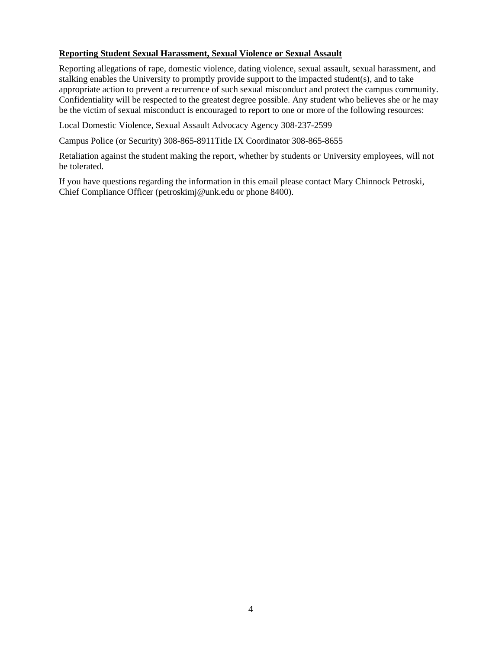#### **Reporting Student Sexual Harassment, Sexual Violence or Sexual Assault**

Reporting allegations of rape, domestic violence, dating violence, sexual assault, sexual harassment, and stalking enables the University to promptly provide support to the impacted student(s), and to take appropriate action to prevent a recurrence of such sexual misconduct and protect the campus community. Confidentiality will be respected to the greatest degree possible. Any student who believes she or he may be the victim of sexual misconduct is encouraged to report to one or more of the following resources:

Local Domestic Violence, Sexual Assault Advocacy Agency 308-237-2599

Campus Police (or Security) 308-865-8911Title IX Coordinator 308-865-8655

Retaliation against the student making the report, whether by students or University employees, will not be tolerated.

If you have questions regarding the information in this email please contact Mary Chinnock Petroski, Chief Compliance Officer (petroskimj@unk.edu or phone 8400).